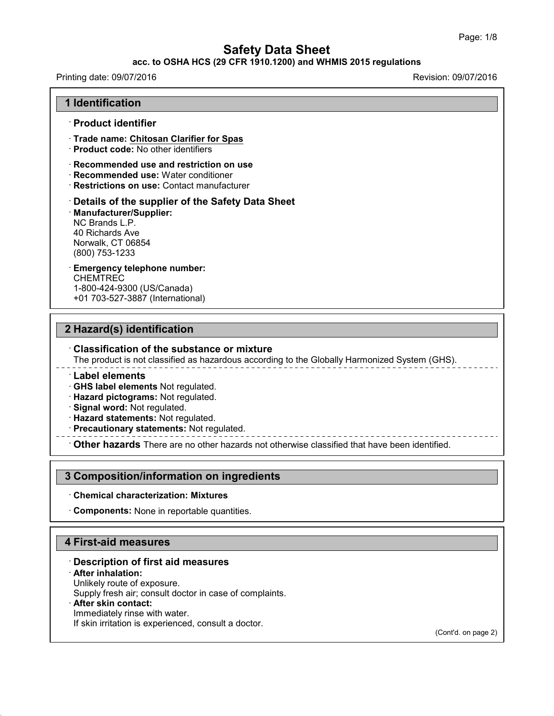# **acc. to OSHA HCS (29 CFR 1910.1200) and WHMIS 2015 regulations**

# Printing date: 09/07/2016 Revision: 09/07/2016 **1 Identification** · **Product identifier** · **Trade name: Chitosan Clarifier for Spas** · **Product code:** No other identifiers · **Recommended use and restriction on use** · **Recommended use:** Water conditioner · **Restrictions on use:** Contact manufacturer · **Details of the supplier of the Safety Data Sheet** · **Manufacturer/Supplier:** NC Brands L.P. 40 Richards Ave Norwalk, CT 06854 (800) 753-1233 · **Emergency telephone number: CHEMTREC** 1-800-424-9300 (US/Canada) +01 703-527-3887 (International) **2 Hazard(s) identification** · **Classification of the substance or mixture**

The product is not classified as hazardous according to the Globally Harmonized System (GHS).

· **Label elements**

· **GHS label elements** Not regulated.

· **Hazard pictograms:** Not regulated.

· **Signal word:** Not regulated.

· **Hazard statements:** Not regulated.

· **Precautionary statements:** Not regulated.

· **Other hazards** There are no other hazards nototherwise classified that have been identified.

## **3 Composition/information on ingredients**

#### · **Chemical characterization: Mixtures**

· **Components:** None in reportable quantities.

# **4 First-aid measures**

## · **Description of first aid measures**

#### · **After inhalation:**

43.0

Unlikely route of exposure.

Supply fresh air; consult doctor in case of complaints.

## · **After skin contact:**

Immediately rinse with water. If skin irritation is experienced, consult a doctor.

(Cont'd. on page 2)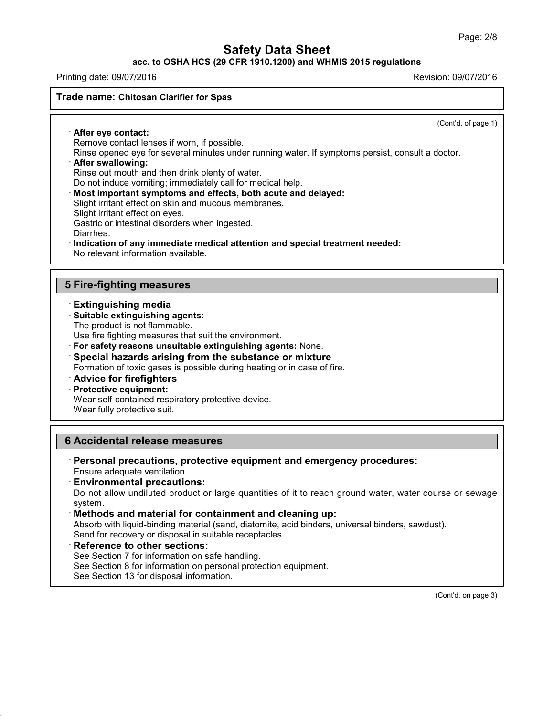**acc. to OSHA HCS (29 CFR 1910.1200) and WHMIS 2015 regulations**

Printing date: 09/07/2016 Revision: 09/07/2016

#### **Trade name: Chitosan Clarifier for Spas**

(Cont'd. of page 1)

· **After eye contact:** Remove contact lenses if worn, if possible.

Rinse opened eye for several minutes under running water. If symptoms persist, consult a doctor. · **After swallowing:**

Rinse out mouth and then drink plenty of water.

Do not induce vomiting; immediately call for medical help.

· **Most important symptoms and effects, both acute and delayed:**

Slight irritant effect on skin and mucous membranes.

Slight irritant effect on eyes.

Gastric or intestinal disorders when ingested.

Diarrhea.

· **Indication of any immediate medical attention and special treatment needed:**

No relevant information available.

# **5 Fire-fighting measures**

## · **Extinguishing media**

#### · **Suitable extinguishing agents:**

The product is not flammable.

Use fire fighting measures that suit the environment.

- · **For safety reasons unsuitable extinguishing agents:** None.
- · **Special hazards arising from the substance or mixture** Formation of toxic gases is possible during heating or in case of fire.

# · **Advice for firefighters**

## · **Protective equipment:**

Wear self-contained respiratory protective device.

Wear fully protective suit.

# **6 Accidental release measures**

· **Personal precautions, protective equipment and emergency procedures:** Ensure adequate ventilation.

## · **Environmental precautions:**

Do not allow undiluted product or large quantities of it to reach ground water, water course or sewage system.

## · **Methods and material for containment and cleaning up:**

Absorb with liquid-binding material (sand, diatomite, acid binders, universal binders, sawdust). Send for recovery or disposal in suitable receptacles.

## · **Reference to other sections:**

43.0

See Section 7 for information on safe handling.

See Section 8 for information on personal protection equipment.

See Section 13 for disposal information.

(Cont'd. on page 3)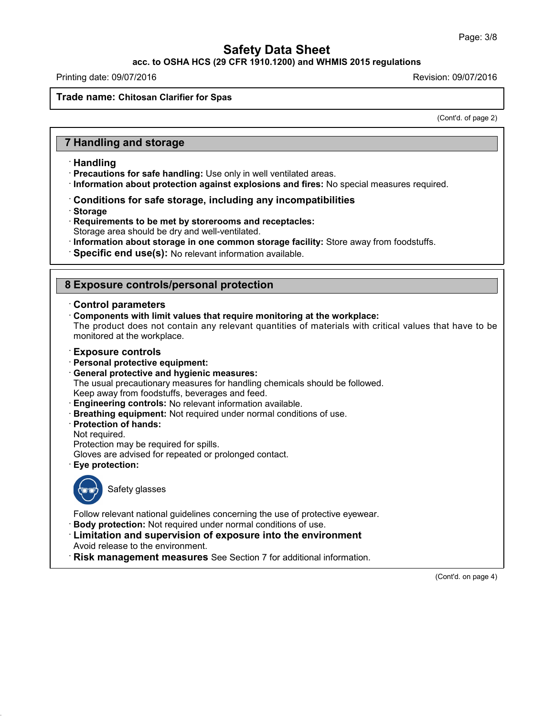**acc. to OSHA HCS (29 CFR 1910.1200) and WHMIS 2015 regulations**

Printing date: 09/07/2016 Revision: 09/07/2016

#### **Trade name: Chitosan Clarifier for Spas**

(Cont'd. of page 2)

## **7 Handling and storage**

#### · **Handling**

- · **Precautions for safe handling:** Use only in well ventilated areas.
- · **Information about protection against explosions and fires:** No special measures required.
- · **Conditions for safe storage, including any incompatibilities**
- · **Storage**
- · **Requirements to be met by storerooms and receptacles:** Storage area should be dry and well-ventilated.
- · **Information about storage in one common storage facility:** Store away from foodstuffs.
- · **Specific end use(s):** No relevant information available.

## **8 Exposure controls/personal protection**

#### · **Control parameters**

· **Components with limit values that require monitoring at the workplace:** The product does not contain any relevant quantities of materials with critical values that have to be monitored at the workplace.

#### · **Exposure controls**

- · **Personal protective equipment:**
- · **General protective and hygienic measures:**

The usual precautionary measures for handling chemicals should be followed.

Keep away from foodstuffs, beverages and feed.

- · **Engineering controls:** No relevant information available.
- · **Breathing equipment:** Not required under normal conditions of use.
- · **Protection of hands:**
- Not required.

Protection may be required for spills.

Gloves are advised for repeated or prolonged contact.

· **Eye protection:**



43.0

Safety glasses

Follow relevant national guidelines concerning the use of protective eyewear.

- · **Body protection:** Not required under normal conditions of use.
- · **Limitation and supervision of exposure into the environment**

Avoid release to the environment.

· **Risk management measures** See Section 7 for additional information.

(Cont'd. on page 4)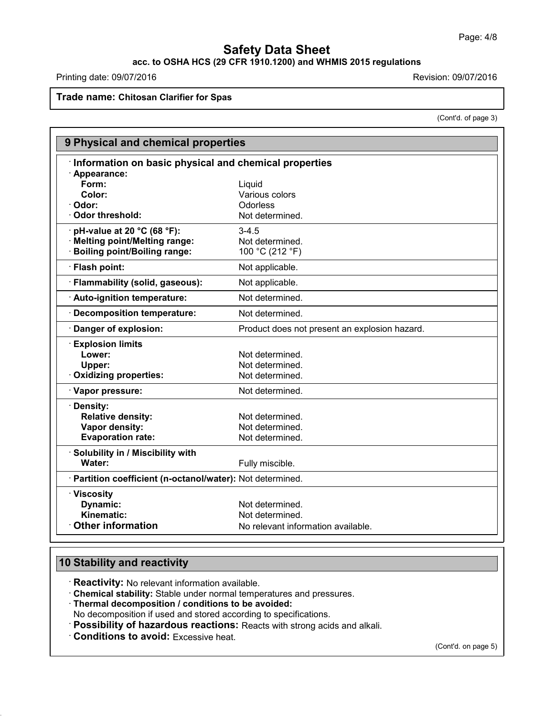# **acc. to OSHA HCS (29 CFR 1910.1200) and WHMIS 2015 regulations**

Printing date: 09/07/2016 **Revision: 09/07/2016** 

**Trade name: Chitosan Clarifier for Spas**

(Cont'd. of page 3)

| 9 Physical and chemical properties                         |                                               |  |  |  |
|------------------------------------------------------------|-----------------------------------------------|--|--|--|
| Information on basic physical and chemical properties      |                                               |  |  |  |
| · Appearance:                                              |                                               |  |  |  |
| Form:                                                      | Liquid                                        |  |  |  |
| Color:                                                     | Various colors                                |  |  |  |
| Odor:                                                      | <b>Odorless</b>                               |  |  |  |
| <b>Odor threshold:</b>                                     | Not determined.                               |  |  |  |
| pH-value at 20 °C (68 °F):                                 | $3 - 4.5$                                     |  |  |  |
| <b>Melting point/Melting range:</b>                        | Not determined.                               |  |  |  |
| <b>Boiling point/Boiling range:</b>                        | 100 °C (212 °F)                               |  |  |  |
| · Flash point:                                             | Not applicable.                               |  |  |  |
| · Flammability (solid, gaseous):                           | Not applicable.                               |  |  |  |
| · Auto-ignition temperature:                               | Not determined.                               |  |  |  |
| <b>Decomposition temperature:</b>                          | Not determined.                               |  |  |  |
| Danger of explosion:                                       | Product does not present an explosion hazard. |  |  |  |
| <b>Explosion limits</b>                                    |                                               |  |  |  |
| Lower:                                                     | Not determined.                               |  |  |  |
| Upper:                                                     | Not determined.                               |  |  |  |
| <b>Oxidizing properties:</b>                               | Not determined.                               |  |  |  |
| · Vapor pressure:                                          | Not determined.                               |  |  |  |
| Density:                                                   |                                               |  |  |  |
| <b>Relative density:</b>                                   | Not determined.                               |  |  |  |
| Vapor density:                                             | Not determined.                               |  |  |  |
| <b>Evaporation rate:</b>                                   | Not determined.                               |  |  |  |
| · Solubility in / Miscibility with                         |                                               |  |  |  |
| Water:                                                     | Fully miscible.                               |  |  |  |
| · Partition coefficient (n-octanol/water): Not determined. |                                               |  |  |  |
| · Viscosity                                                |                                               |  |  |  |
| Dynamic:                                                   | Not determined.                               |  |  |  |
| Kinematic:                                                 | Not determined.                               |  |  |  |
| <b>Other information</b>                                   | No relevant information available.            |  |  |  |

# **10 Stability and reactivity**

43.0

· **Reactivity:** No relevant information available.

· **Chemical stability:** Stable under normal temperatures and pressures.

· **Thermal decomposition / conditions to be avoided:**

No decomposition if used and stored according to specifications.

· **Possibility of hazardous reactions:** Reacts with strong acids and alkali.

· **Conditions to avoid:** Excessive heat.

(Cont'd. on page 5)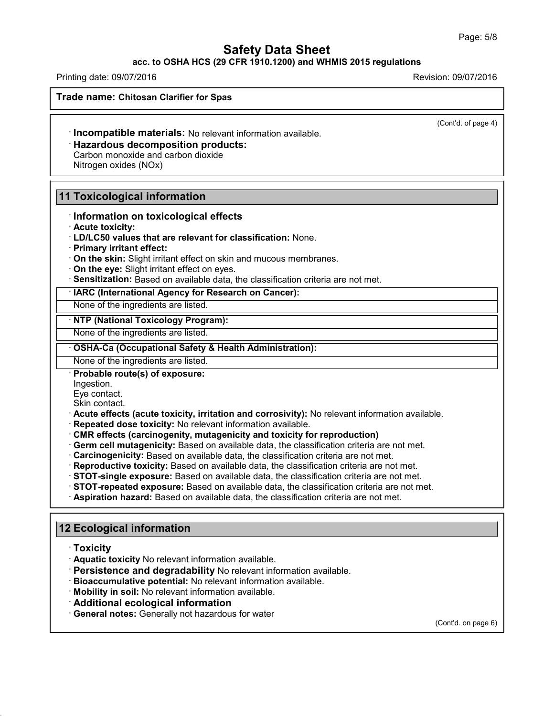#### **acc. to OSHA HCS (29 CFR 1910.1200) and WHMIS 2015 regulations**

Printing date: 09/07/2016 Revision: 09/07/2016

**Trade name: Chitosan Clarifier for Spas**

(Cont'd. of page 4)

· **Incompatible materials:** No relevant information available.

· **Hazardous decomposition products:**

Carbon monoxide and carbon dioxide Nitrogen oxides (NOx)

# **11 Toxicological information**

· **Information on toxicological effects**

· **Acute toxicity:**

- · **LD/LC50 values that are relevant for classification:** None.
- · **Primary irritant effect:**
- · **On the skin:** Slight irritant effect on skin and mucous membranes.
- · **On the eye:** Slight irritant effect on eyes.
- · **Sensitization:** Based on available data, the classification criteria are not met.

· **IARC (International Agency for Research on Cancer):**

None of the ingredients are listed.

· **NTP (National Toxicology Program):**

None of the ingredients are listed.

· **OSHA-Ca (Occupational Safety & Health Administration):**

None of the ingredients are listed.

· **Probable route(s) of exposure:**

Ingestion.

Eye contact.

Skin contact.

· **Acute effects (acute toxicity, irritation and corrosivity):** No relevant information available.

- · **Repeated dose toxicity:** No relevant information available.
- · **CMR effects (carcinogenity, mutagenicity and toxicity for reproduction)**
- · **Germ cell mutagenicity:** Based on available data, the classification criteria are not met.
- · **Carcinogenicity:** Based on available data, the classification criteria are not met.
- · **Reproductive toxicity:** Based on available data, the classification criteria are not met.
- · **STOT-single exposure:** Based on available data, the classification criteria are not met.
- · **STOT-repeated exposure:** Based on available data, the classification criteria are not met.
- · **Aspiration hazard:** Based on available data, the classification criteria are not met.

# **12 Ecological information**

· **Toxicity**

43.0

- · **Aquatic toxicity** No relevant information available.
- · **Persistence and degradability** No relevant information available.
- · **Bioaccumulative potential:** No relevant information available.
- · **Mobility in soil:** No relevant information available.
- · **Additional ecological information**
- · **General notes:** Generally nothazardous for water

(Cont'd. on page 6)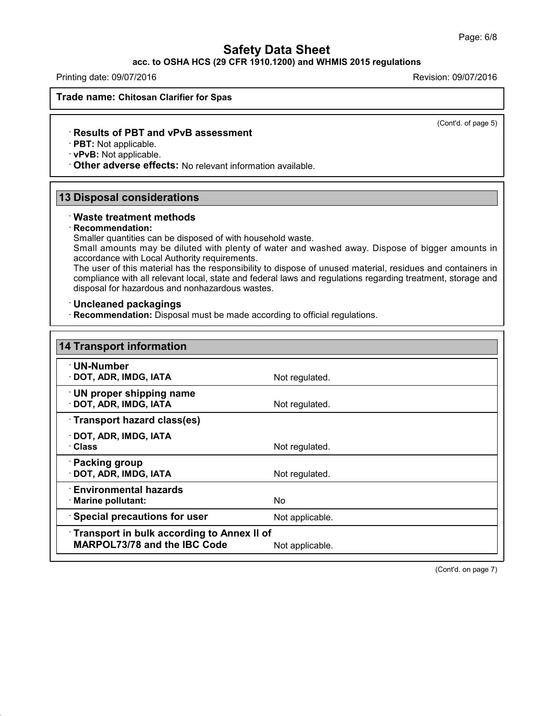## **acc. to OSHA HCS (29 CFR 1910.1200) and WHMIS 2015 regulations**

Printing date: 09/07/2016 Revision: 09/07/2016

**Trade name: Chitosan Clarifier for Spas**

(Cont'd. of page 5)

#### · **Results of PBT and vPvB assessment**

· **PBT:** Not applicable.

· **vPvB:** Not applicable.

· **Other adverse effects:** No relevant information available.

## **13 Disposal considerations**

#### · **Waste treatment methods**

#### · **Recommendation:**

43.0

Smaller quantities can be disposed of with household waste.

Small amounts may be diluted with plenty of water and washed away. Dispose of bigger amounts in accordance with Local Authority requirements.

The user of this material has the responsibility to dispose of unused material, residues and containers in compliance with all relevant local, state and federal laws and regulations regarding treatment, storage and disposal for hazardous and nonhazardous wastes.

#### · **Uncleaned packagings**

· **Recommendation:** Disposal must be made according to official regulations.

| <b>14 Transport information</b>                                                          |                 |
|------------------------------------------------------------------------------------------|-----------------|
| · UN-Number<br>DOT, ADR, IMDG, IATA                                                      | Not regulated.  |
| UN proper shipping name<br>DOT, ADR, IMDG, IATA                                          | Not regulated.  |
| Transport hazard class(es)                                                               |                 |
| $\cdot$ DOT, ADR, IMDG, IATA<br>· Class                                                  | Not regulated.  |
| · Packing group<br>· DOT, ADR, IMDG, IATA                                                | Not regulated.  |
| $\cdot$ Environmental hazards<br>$\cdot$ Marine pollutant:                               | No.             |
| <b>Special precautions for user</b>                                                      | Not applicable. |
| <b>Transport in bulk according to Annex II of</b><br><b>MARPOL73/78 and the IBC Code</b> | Not applicable. |

(Cont'd. on page 7)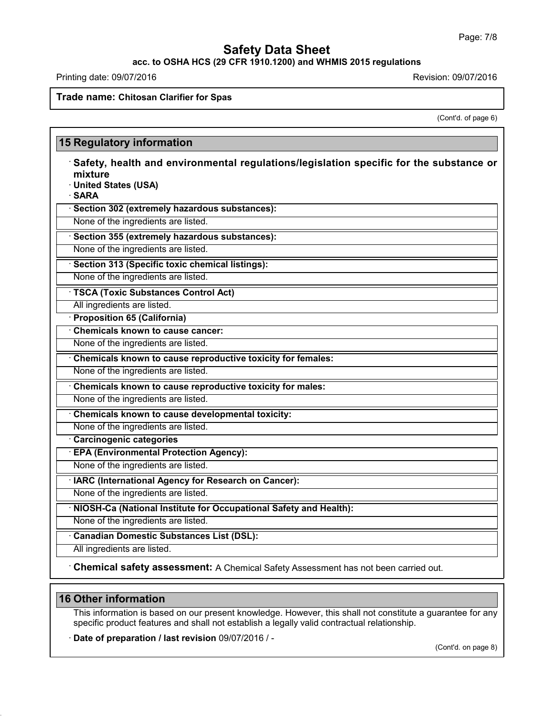**acc. to OSHA HCS (29 CFR 1910.1200) and WHMIS 2015 regulations**

Printing date: 09/07/2016 **Revision: 09/07/2016** 

**Trade name: Chitosan Clarifier for Spas**

(Cont'd. of page 6)

|                                                             | Safety, health and environmental regulations/legislation specific for the substance or<br>mixture |  |  |
|-------------------------------------------------------------|---------------------------------------------------------------------------------------------------|--|--|
|                                                             | · United States (USA)                                                                             |  |  |
| · SARA                                                      |                                                                                                   |  |  |
| · Section 302 (extremely hazardous substances):             |                                                                                                   |  |  |
| None of the ingredients are listed.                         |                                                                                                   |  |  |
| · Section 355 (extremely hazardous substances):             |                                                                                                   |  |  |
| None of the ingredients are listed.                         |                                                                                                   |  |  |
| Section 313 (Specific toxic chemical listings):             |                                                                                                   |  |  |
|                                                             | None of the ingredients are listed.                                                               |  |  |
| · TSCA (Toxic Substances Control Act)                       |                                                                                                   |  |  |
|                                                             | All ingredients are listed.                                                                       |  |  |
|                                                             | · Proposition 65 (California)                                                                     |  |  |
|                                                             | <b>Chemicals known to cause cancer:</b>                                                           |  |  |
| None of the ingredients are listed.                         |                                                                                                   |  |  |
| Chemicals known to cause reproductive toxicity for females: |                                                                                                   |  |  |
|                                                             | None of the ingredients are listed.                                                               |  |  |
| Chemicals known to cause reproductive toxicity for males:   |                                                                                                   |  |  |
|                                                             | None of the ingredients are listed.                                                               |  |  |
| Chemicals known to cause developmental toxicity:            |                                                                                                   |  |  |
|                                                             | None of the ingredients are listed.                                                               |  |  |
|                                                             | Carcinogenic categories                                                                           |  |  |
|                                                             | · EPA (Environmental Protection Agency):                                                          |  |  |
|                                                             | None of the ingredients are listed.                                                               |  |  |
|                                                             | · IARC (International Agency for Research on Cancer):                                             |  |  |
|                                                             | None of the ingredients are listed.                                                               |  |  |
|                                                             | NIOSH-Ca (National Institute for Occupational Safety and Health):                                 |  |  |
|                                                             | None of the ingredients are listed.                                                               |  |  |
|                                                             | <b>Canadian Domestic Substances List (DSL):</b>                                                   |  |  |
|                                                             | All ingredients are listed.                                                                       |  |  |

# **16 Other information**

43.0

This information is based on our present knowledge. However, this shall not constitute a guarantee for any specific product features and shall not establish a legally valid contractual relationship.

· **Date of preparation / last revision** 09/07/2016 / -

(Cont'd. on page 8)